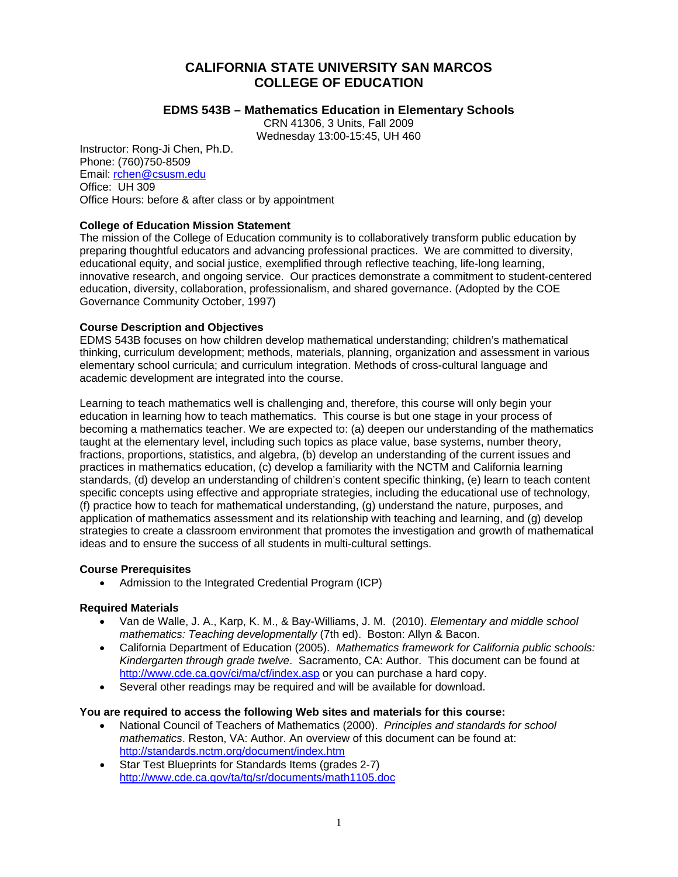# **CALIFORNIA STATE UNIVERSITY SAN MARCOS COLLEGE OF EDUCATION**

# **EDMS 543B – Mathematics Education in Elementary Schools**

CRN 41306, 3 Units, Fall 2009 Wednesday 13:00-15:45, UH 460

Instructor: Rong-Ji Chen, Ph.D. Phone: (760)750-8509 Email: rchen@csusm.edu Office: UH 309 Office Hours: before & after class or by appointment

# **College of Education Mission Statement**

The mission of the College of Education community is to collaboratively transform public education by preparing thoughtful educators and advancing professional practices. We are committed to diversity, educational equity, and social justice, exemplified through reflective teaching, life-long learning, innovative research, and ongoing service. Our practices demonstrate a commitment to student-centered education, diversity, collaboration, professionalism, and shared governance. (Adopted by the COE Governance Community October, 1997)

## **Course Description and Objectives**

EDMS 543B focuses on how children develop mathematical understanding; children's mathematical thinking, curriculum development; methods, materials, planning, organization and assessment in various elementary school curricula; and curriculum integration. Methods of cross-cultural language and academic development are integrated into the course.

Learning to teach mathematics well is challenging and, therefore, this course will only begin your education in learning how to teach mathematics. This course is but one stage in your process of becoming a mathematics teacher. We are expected to: (a) deepen our understanding of the mathematics taught at the elementary level, including such topics as place value, base systems, number theory, fractions, proportions, statistics, and algebra, (b) develop an understanding of the current issues and practices in mathematics education, (c) develop a familiarity with the NCTM and California learning standards, (d) develop an understanding of children's content specific thinking, (e) learn to teach content specific concepts using effective and appropriate strategies, including the educational use of technology, (f) practice how to teach for mathematical understanding, (g) understand the nature, purposes, and application of mathematics assessment and its relationship with teaching and learning, and (g) develop strategies to create a classroom environment that promotes the investigation and growth of mathematical ideas and to ensure the success of all students in multi-cultural settings.

## **Course Prerequisites**

• Admission to the Integrated Credential Program (ICP)

## **Required Materials**

- • Van de Walle, J. A., Karp, K. M., & Bay-Williams, J. M. (2010). *Elementary and middle school mathematics: Teaching developmentally* (7th ed). Boston: Allyn & Bacon.
- • California Department of Education (2005). *Mathematics framework for California public schools: Kindergarten through grade twelve*. Sacramento, CA: Author. This document can be found at http://www.cde.ca.gov/ci/ma/cf/index.asp or you can purchase a hard copy.
- Several other readings may be required and will be available for download.

# **You are required to access the following Web sites and materials for this course:**

- National Council of Teachers of Mathematics (2000). Principles and standards for school *mathematics*. Reston, VA: Author. An overview of this document can be found at: http://standards.nctm.org/document/index.htm
- Star Test Blueprints for Standards Items (grades 2-7) http://www.cde.ca.gov/ta/tg/sr/documents/math1105.doc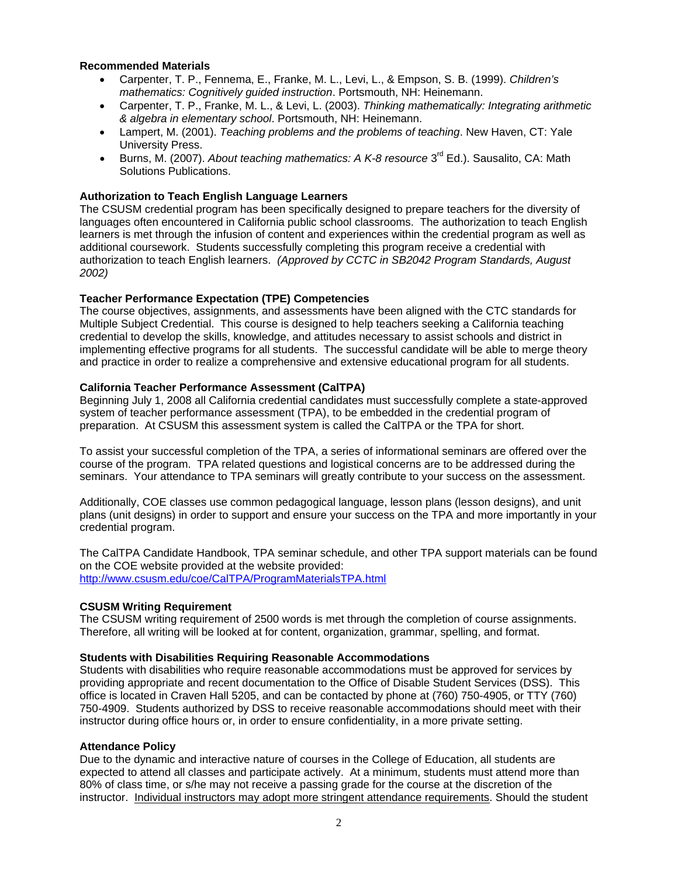#### **Recommended Materials**

- • Carpenter, T. P., Fennema, E., Franke, M. L., Levi, L., & Empson, S. B. (1999). *Children's mathematics: Cognitively guided instruction*. Portsmouth, NH: Heinemann.
- • Carpenter, T. P., Franke, M. L., & Levi, L. (2003). *Thinking mathematically: Integrating arithmetic & algebra in elementary school*. Portsmouth, NH: Heinemann.
- Lampert, M. (2001). *Teaching problems and the problems of teaching*. New Haven, CT: Yale University Press.
- Burns, M. (2007). *About teaching mathematics: A K-8 resource* 3<sup>rd</sup> Ed.). Sausalito, CA: Math Solutions Publications.

## **Authorization to Teach English Language Learners**

The CSUSM credential program has been specifically designed to prepare teachers for the diversity of languages often encountered in California public school classrooms. The authorization to teach English learners is met through the infusion of content and experiences within the credential program as well as additional coursework. Students successfully completing this program receive a credential with authorization to teach English learners. *(Approved by CCTC in SB2042 Program Standards, August 2002)* 

#### **Teacher Performance Expectation (TPE) Competencies**

The course objectives, assignments, and assessments have been aligned with the CTC standards for Multiple Subject Credential. This course is designed to help teachers seeking a California teaching credential to develop the skills, knowledge, and attitudes necessary to assist schools and district in implementing effective programs for all students. The successful candidate will be able to merge theory and practice in order to realize a comprehensive and extensive educational program for all students.

#### **California Teacher Performance Assessment (CalTPA)**

Beginning July 1, 2008 all California credential candidates must successfully complete a state-approved system of teacher performance assessment (TPA), to be embedded in the credential program of preparation. At CSUSM this assessment system is called the CalTPA or the TPA for short.

To assist your successful completion of the TPA, a series of informational seminars are offered over the course of the program. TPA related questions and logistical concerns are to be addressed during the seminars. Your attendance to TPA seminars will greatly contribute to your success on the assessment.

Additionally, COE classes use common pedagogical language, lesson plans (lesson designs), and unit plans (unit designs) in order to support and ensure your success on the TPA and more importantly in your credential program.

 http://www.csusm.edu/coe/CalTPA/ProgramMaterialsTPA.html The CalTPA Candidate Handbook, TPA seminar schedule, and other TPA support materials can be found on the COE website provided at the website provided:

#### **CSUSM Writing Requirement**

The CSUSM writing requirement of 2500 words is met through the completion of course assignments. Therefore, all writing will be looked at for content, organization, grammar, spelling, and format.

#### **Students with Disabilities Requiring Reasonable Accommodations**

Students with disabilities who require reasonable accommodations must be approved for services by providing appropriate and recent documentation to the Office of Disable Student Services (DSS). This office is located in Craven Hall 5205, and can be contacted by phone at (760) 750-4905, or TTY (760) 750-4909. Students authorized by DSS to receive reasonable accommodations should meet with their instructor during office hours or, in order to ensure confidentiality, in a more private setting.

#### **Attendance Policy**

Due to the dynamic and interactive nature of courses in the College of Education, all students are expected to attend all classes and participate actively. At a minimum, students must attend more than 80% of class time, or s/he may not receive a passing grade for the course at the discretion of the instructor. Individual instructors may adopt more stringent attendance requirements. Should the student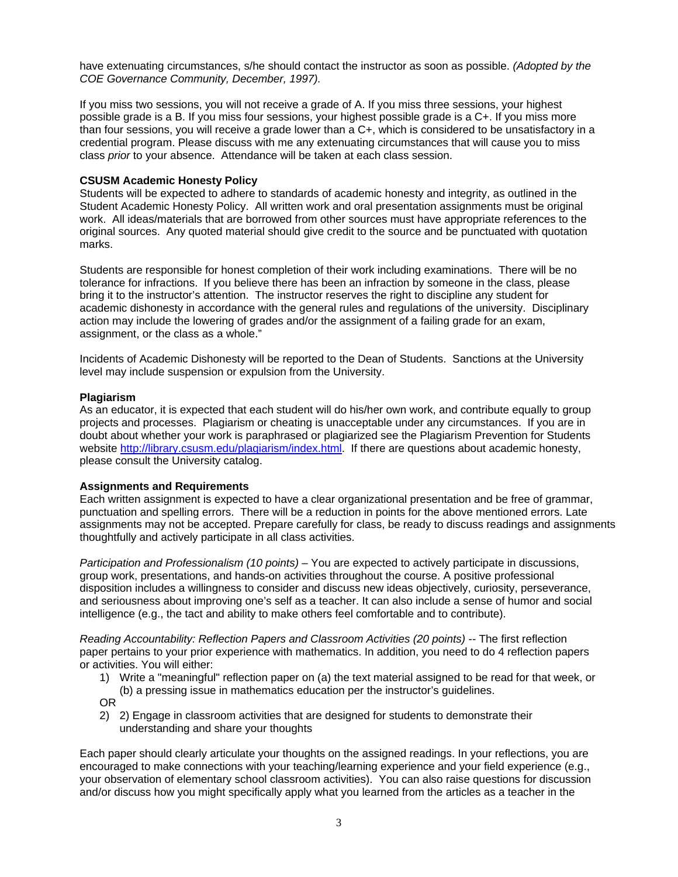have extenuating circumstances, s/he should contact the instructor as soon as possible. *(Adopted by the COE Governance Community, December, 1997).* 

If you miss two sessions, you will not receive a grade of A. If you miss three sessions, your highest possible grade is a B. If you miss four sessions, your highest possible grade is a C+. If you miss more than four sessions, you will receive a grade lower than a C+, which is considered to be unsatisfactory in a credential program. Please discuss with me any extenuating circumstances that will cause you to miss class *prior* to your absence. Attendance will be taken at each class session.

# **CSUSM Academic Honesty Policy**

Students will be expected to adhere to standards of academic honesty and integrity, as outlined in the Student Academic Honesty Policy. All written work and oral presentation assignments must be original work. All ideas/materials that are borrowed from other sources must have appropriate references to the original sources. Any quoted material should give credit to the source and be punctuated with quotation marks.

Students are responsible for honest completion of their work including examinations. There will be no tolerance for infractions. If you believe there has been an infraction by someone in the class, please bring it to the instructor's attention. The instructor reserves the right to discipline any student for academic dishonesty in accordance with the general rules and regulations of the university. Disciplinary action may include the lowering of grades and/or the assignment of a failing grade for an exam, assignment, or the class as a whole."

Incidents of Academic Dishonesty will be reported to the Dean of Students. Sanctions at the University level may include suspension or expulsion from the University.

## **Plagiarism**

As an educator, it is expected that each student will do his/her own work, and contribute equally to group projects and processes. Plagiarism or cheating is unacceptable under any circumstances. If you are in doubt about whether your work is paraphrased or plagiarized see the Plagiarism Prevention for Students website http://library.csusm.edu/plagiarism/index.html. If there are questions about academic honesty, please consult the University catalog.

## **Assignments and Requirements**

Each written assignment is expected to have a clear organizational presentation and be free of grammar, punctuation and spelling errors. There will be a reduction in points for the above mentioned errors. Late assignments may not be accepted. Prepare carefully for class, be ready to discuss readings and assignments thoughtfully and actively participate in all class activities.

*Participation and Professionalism (10 points)* – You are expected to actively participate in discussions, group work, presentations, and hands-on activities throughout the course. A positive professional disposition includes a willingness to consider and discuss new ideas objectively, curiosity, perseverance, and seriousness about improving one's self as a teacher. It can also include a sense of humor and social intelligence (e.g., the tact and ability to make others feel comfortable and to contribute).

*Reading Accountability: Reflection Papers and Classroom Activities (20 points)* -- The first reflection paper pertains to your prior experience with mathematics. In addition, you need to do 4 reflection papers or activities. You will either:

- 1) Write a "meaningful" reflection paper on (a) the text material assigned to be read for that week, or (b) a pressing issue in mathematics education per the instructor's guidelines.
- OR
- 2) 2) Engage in classroom activities that are designed for students to demonstrate their understanding and share your thoughts

Each paper should clearly articulate your thoughts on the assigned readings. In your reflections, you are encouraged to make connections with your teaching/learning experience and your field experience (e.g., your observation of elementary school classroom activities). You can also raise questions for discussion and/or discuss how you might specifically apply what you learned from the articles as a teacher in the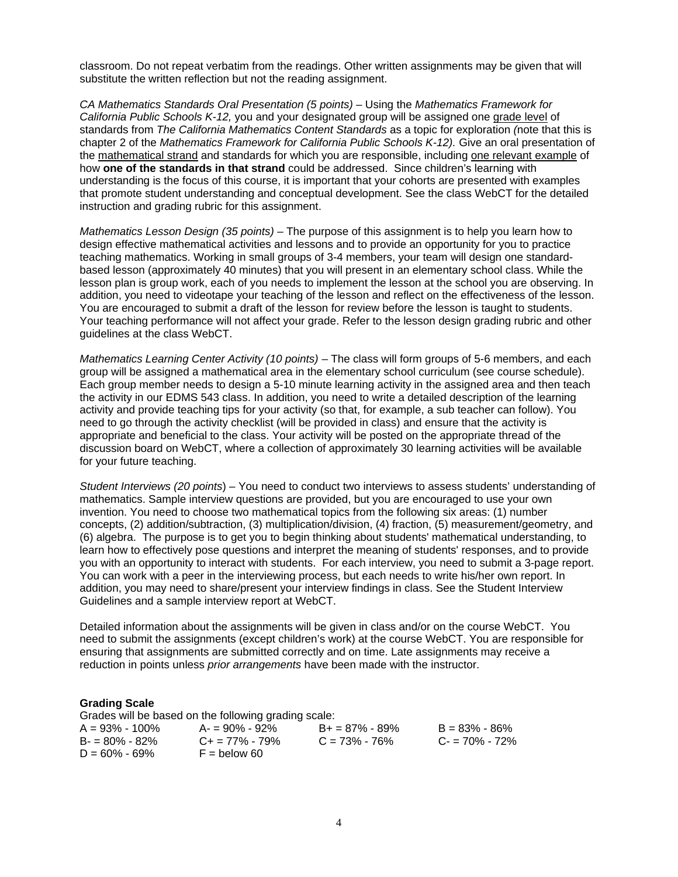classroom. Do not repeat verbatim from the readings. Other written assignments may be given that will substitute the written reflection but not the reading assignment.

*CA Mathematics Standards Oral Presentation (5 points)* – Using the *Mathematics Framework for California Public Schools K-12,* you and your designated group will be assigned one grade level of standards from *The California Mathematics Content Standards* as a topic for exploration *(*note that this is chapter 2 of the *Mathematics Framework for California Public Schools K-12).* Give an oral presentation of the mathematical strand and standards for which you are responsible, including one relevant example of how **one of the standards in that strand** could be addressed. Since children's learning with understanding is the focus of this course, it is important that your cohorts are presented with examples that promote student understanding and conceptual development. See the class WebCT for the detailed instruction and grading rubric for this assignment.

*Mathematics Lesson Design (35 points)* – The purpose of this assignment is to help you learn how to design effective mathematical activities and lessons and to provide an opportunity for you to practice teaching mathematics. Working in small groups of 3-4 members, your team will design one standardbased lesson (approximately 40 minutes) that you will present in an elementary school class. While the lesson plan is group work, each of you needs to implement the lesson at the school you are observing. In addition, you need to videotape your teaching of the lesson and reflect on the effectiveness of the lesson. You are encouraged to submit a draft of the lesson for review before the lesson is taught to students. Your teaching performance will not affect your grade. Refer to the lesson design grading rubric and other guidelines at the class WebCT.

*Mathematics Learning Center Activity (10 points)* – The class will form groups of 5-6 members, and each group will be assigned a mathematical area in the elementary school curriculum (see course schedule). Each group member needs to design a 5-10 minute learning activity in the assigned area and then teach the activity in our EDMS 543 class. In addition, you need to write a detailed description of the learning activity and provide teaching tips for your activity (so that, for example, a sub teacher can follow). You need to go through the activity checklist (will be provided in class) and ensure that the activity is appropriate and beneficial to the class. Your activity will be posted on the appropriate thread of the discussion board on WebCT, where a collection of approximately 30 learning activities will be available for your future teaching.

*Student Interviews (20 points*) – You need to conduct two interviews to assess students' understanding of mathematics. Sample interview questions are provided, but you are encouraged to use your own invention. You need to choose two mathematical topics from the following six areas: (1) number concepts, (2) addition/subtraction, (3) multiplication/division, (4) fraction, (5) measurement/geometry, and (6) algebra. The purpose is to get you to begin thinking about students' mathematical understanding, to learn how to effectively pose questions and interpret the meaning of students' responses, and to provide you with an opportunity to interact with students. For each interview, you need to submit a 3-page report. You can work with a peer in the interviewing process, but each needs to write his/her own report. In addition, you may need to share/present your interview findings in class. See the Student Interview Guidelines and a sample interview report at WebCT.

Detailed information about the assignments will be given in class and/or on the course WebCT. You need to submit the assignments (except children's work) at the course WebCT. You are responsible for ensuring that assignments are submitted correctly and on time. Late assignments may receive a reduction in points unless *prior arrangements* have been made with the instructor.

#### **Grading Scale**

Grades will be based on the following grading scale:

| $A = 93\% - 100\%$ | $A = 90\% - 92\%$       | $B+ = 87\% - 89\%$ | $B = 83\% - 86\%$ |
|--------------------|-------------------------|--------------------|-------------------|
| $B = 80\% - 82\%$  | $C_{\pm} = 77\% - 79\%$ | $C = 73\% - 76\%$  | $C = 70\% - 72\%$ |
| $D = 60\% - 69\%$  | $F =$ below 60          |                    |                   |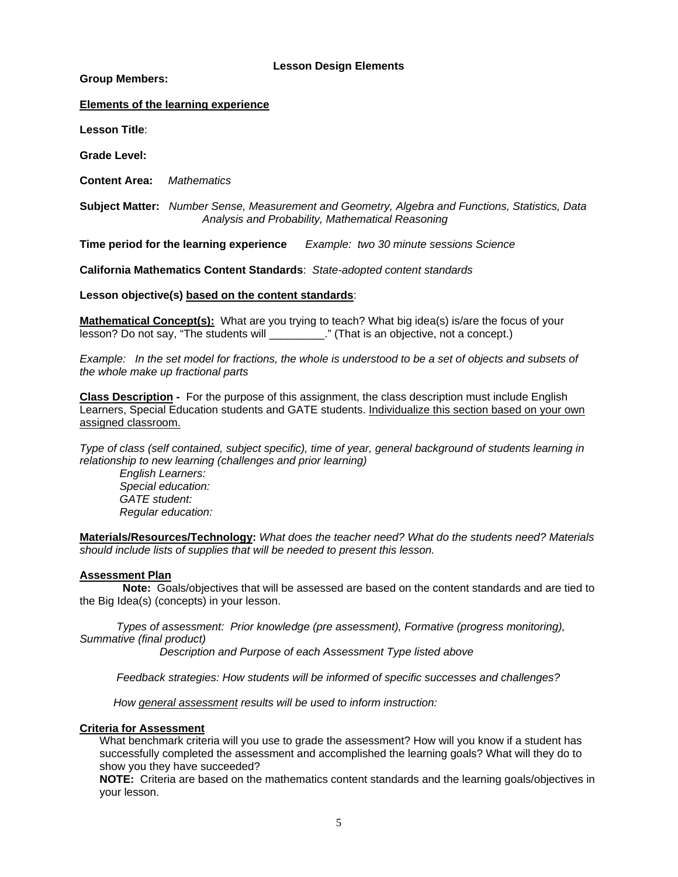# **Lesson Design Elements**

**Group Members:** 

# **Elements of the learning experience**

**Lesson Title**:

**Grade Level:** 

**Content Area:** *Mathematics* 

 **Subject Matter:** *Number Sense, Measurement and Geometry, Algebra and Functions, Statistics, Data Analysis and Probability, Mathematical Reasoning* 

**Time period for the learning experience** *Example: two 30 minute sessions Science* 

**California Mathematics Content Standards**: *State-adopted content standards* 

**Lesson objective(s) based on the content standards**:

**Mathematical Concept(s):** What are you trying to teach? What big idea(s) is/are the focus of your lesson? Do not say, "The students will \_\_\_\_\_\_\_\_\_\_." (That is an objective, not a concept.)

*Example: In the set model for fractions, the whole is understood to be a set of objects and subsets of the whole make up fractional parts* 

**Class Description -** For the purpose of this assignment, the class description must include English Learners, Special Education students and GATE students. Individualize this section based on your own assigned classroom.

*Type of class (self contained, subject specific), time of year, general background of students learning in relationship to new learning (challenges and prior learning)* 

 *Regular education: English Learners: Special education: GATE student:* 

**Materials/Resources/Technology:** *What does the teacher need? What do the students need? Materials should include lists of supplies that will be needed to present this lesson.* 

## **Assessment Plan**

**Note:** Goals/objectives that will be assessed are based on the content standards and are tied to the Big Idea(s) (concepts) in your lesson.

 *Types of assessment: Prior knowledge (pre assessment), Formative (progress monitoring), Summative (final product)* 

 *Description and Purpose of each Assessment Type listed above* 

 *Feedback strategies: How students will be informed of specific successes and challenges?*

 *How general assessment results will be used to inform instruction:* 

## **Criteria for Assessment**

What benchmark criteria will you use to grade the assessment? How will you know if a student has successfully completed the assessment and accomplished the learning goals? What will they do to show you they have succeeded?

**NOTE:** Criteria are based on the mathematics content standards and the learning goals/objectives in your lesson.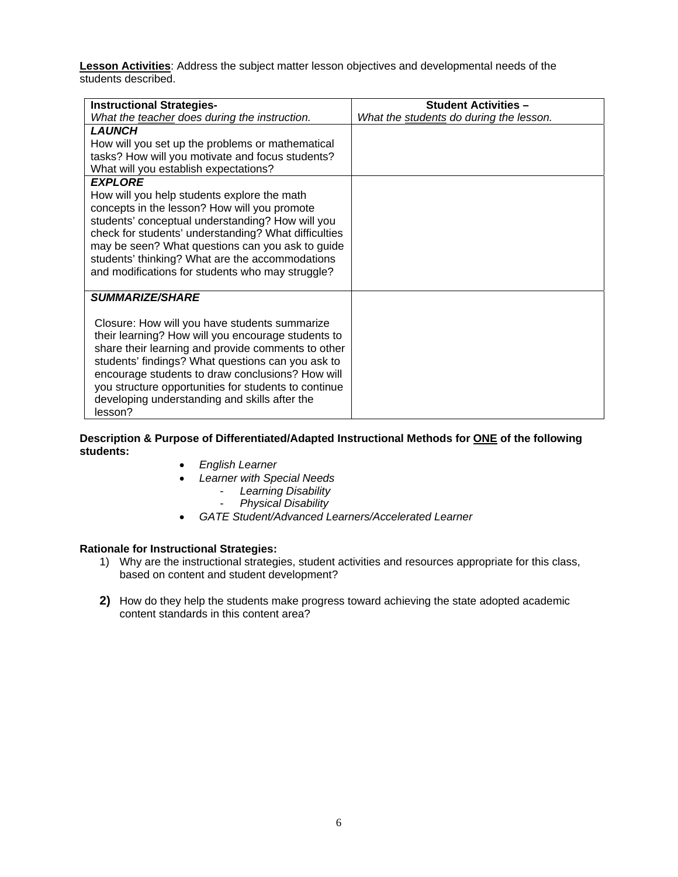**Lesson Activities**: Address the subject matter lesson objectives and developmental needs of the students described.

| <b>Instructional Strategies-</b>                                                                                                                                                                                                                                                                                                                                                                                 | <b>Student Activities -</b>             |
|------------------------------------------------------------------------------------------------------------------------------------------------------------------------------------------------------------------------------------------------------------------------------------------------------------------------------------------------------------------------------------------------------------------|-----------------------------------------|
| What the teacher does during the instruction.                                                                                                                                                                                                                                                                                                                                                                    | What the students do during the lesson. |
| <b>LAUNCH</b><br>How will you set up the problems or mathematical<br>tasks? How will you motivate and focus students?<br>What will you establish expectations?                                                                                                                                                                                                                                                   |                                         |
| <b>EXPLORE</b><br>How will you help students explore the math<br>concepts in the lesson? How will you promote<br>students' conceptual understanding? How will you<br>check for students' understanding? What difficulties<br>may be seen? What questions can you ask to guide<br>students' thinking? What are the accommodations<br>and modifications for students who may struggle?                             |                                         |
| <b>SUMMARIZE/SHARE</b><br>Closure: How will you have students summarize<br>their learning? How will you encourage students to<br>share their learning and provide comments to other<br>students' findings? What questions can you ask to<br>encourage students to draw conclusions? How will<br>you structure opportunities for students to continue<br>developing understanding and skills after the<br>lesson? |                                         |

# **Description & Purpose of Differentiated/Adapted Instructional Methods for ONE of the following students:**

- • *English Learner*
- • *Learner with Special Needs* 
	- *Learning Disability*
	- *Physical Disability*
- *GATE Student/Advanced Learners/Accelerated Learner*

# **Rationale for Instructional Strategies:**

- 1) Why are the instructional strategies, student activities and resources appropriate for this class, based on content and student development?
- **2)** How do they help the students make progress toward achieving the state adopted academic content standards in this content area?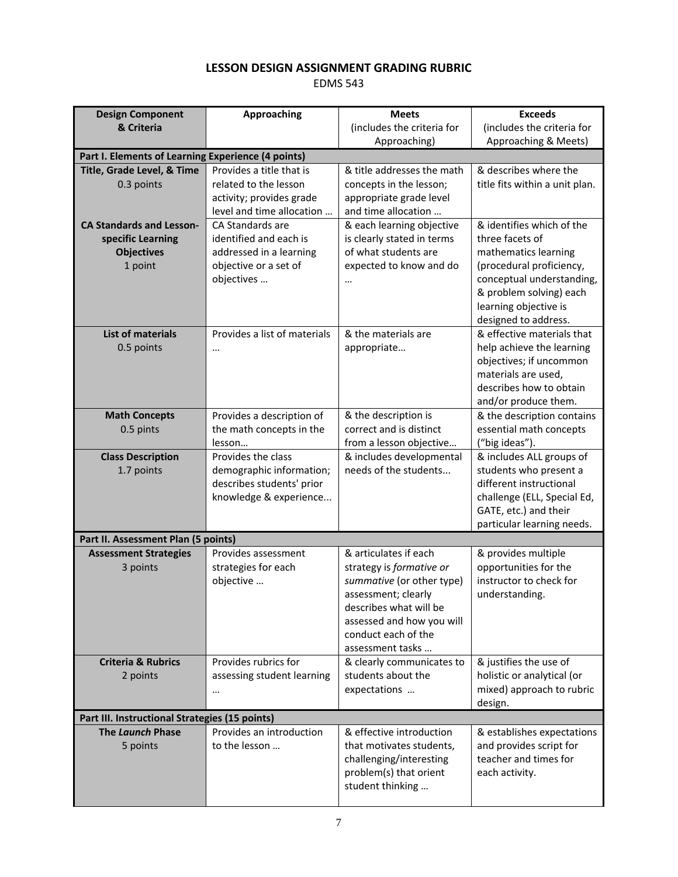# **LESSON DESIGN ASSIGNMENT GRADING RUBRIC**

EDMS 543

| <b>Design Component</b>             | <b>Approaching</b>                                 | <b>Meets</b>                                     | <b>Exceeds</b>                                       |  |
|-------------------------------------|----------------------------------------------------|--------------------------------------------------|------------------------------------------------------|--|
| & Criteria                          |                                                    | (includes the criteria for                       | (includes the criteria for                           |  |
|                                     |                                                    | Approaching)                                     | Approaching & Meets)                                 |  |
|                                     | Part I. Elements of Learning Experience (4 points) |                                                  |                                                      |  |
| Title, Grade Level, & Time          | Provides a title that is                           | & title addresses the math                       | & describes where the                                |  |
| 0.3 points                          | related to the lesson                              | concepts in the lesson;                          | title fits within a unit plan.                       |  |
|                                     | activity; provides grade                           | appropriate grade level                          |                                                      |  |
| <b>CA Standards and Lesson-</b>     | level and time allocation<br>CA Standards are      | and time allocation<br>& each learning objective | & identifies which of the                            |  |
| specific Learning                   | identified and each is                             | is clearly stated in terms                       | three facets of                                      |  |
| <b>Objectives</b>                   | addressed in a learning                            | of what students are                             | mathematics learning                                 |  |
| 1 point                             | objective or a set of                              | expected to know and do                          | (procedural proficiency,                             |  |
|                                     | objectives                                         |                                                  | conceptual understanding,                            |  |
|                                     |                                                    |                                                  | & problem solving) each                              |  |
|                                     |                                                    |                                                  | learning objective is                                |  |
|                                     |                                                    |                                                  | designed to address.                                 |  |
| <b>List of materials</b>            | Provides a list of materials                       | & the materials are                              | & effective materials that                           |  |
| 0.5 points                          | $\cdots$                                           | appropriate                                      | help achieve the learning                            |  |
|                                     |                                                    |                                                  | objectives; if uncommon<br>materials are used,       |  |
|                                     |                                                    |                                                  | describes how to obtain                              |  |
|                                     |                                                    |                                                  | and/or produce them.                                 |  |
| <b>Math Concepts</b>                | Provides a description of                          | & the description is                             | & the description contains                           |  |
| 0.5 pints                           | the math concepts in the                           | correct and is distinct                          | essential math concepts                              |  |
|                                     | lesson                                             | from a lesson objective                          | ("big ideas").                                       |  |
| <b>Class Description</b>            | Provides the class                                 | & includes developmental                         | & includes ALL groups of                             |  |
| 1.7 points                          | demographic information;                           | needs of the students                            | students who present a                               |  |
|                                     | describes students' prior                          |                                                  | different instructional                              |  |
|                                     | knowledge & experience                             |                                                  | challenge (ELL, Special Ed,<br>GATE, etc.) and their |  |
|                                     |                                                    |                                                  | particular learning needs.                           |  |
| Part II. Assessment Plan (5 points) |                                                    |                                                  |                                                      |  |
| <b>Assessment Strategies</b>        | Provides assessment                                | & articulates if each                            | & provides multiple                                  |  |
| 3 points                            | strategies for each                                | strategy is formative or                         | opportunities for the                                |  |
|                                     | objective                                          | summative (or other type)                        | instructor to check for                              |  |
|                                     |                                                    | assessment; clearly                              | understanding.                                       |  |
|                                     |                                                    | describes what will be                           |                                                      |  |
|                                     |                                                    | assessed and how you will                        |                                                      |  |
|                                     |                                                    | conduct each of the<br>assessment tasks          |                                                      |  |
| <b>Criteria &amp; Rubrics</b>       | Provides rubrics for                               | & clearly communicates to                        | & justifies the use of                               |  |
| 2 points                            | assessing student learning                         | students about the                               | holistic or analytical (or                           |  |
|                                     | $\cdots$                                           | expectations                                     | mixed) approach to rubric                            |  |
|                                     |                                                    |                                                  | design.                                              |  |
|                                     | Part III. Instructional Strategies (15 points)     |                                                  |                                                      |  |
| The Launch Phase                    | Provides an introduction                           | & effective introduction                         | & establishes expectations                           |  |
| 5 points                            | to the lesson                                      | that motivates students,                         | and provides script for                              |  |
|                                     |                                                    | challenging/interesting                          | teacher and times for                                |  |
|                                     |                                                    | problem(s) that orient<br>student thinking       | each activity.                                       |  |
|                                     |                                                    |                                                  |                                                      |  |
|                                     |                                                    |                                                  |                                                      |  |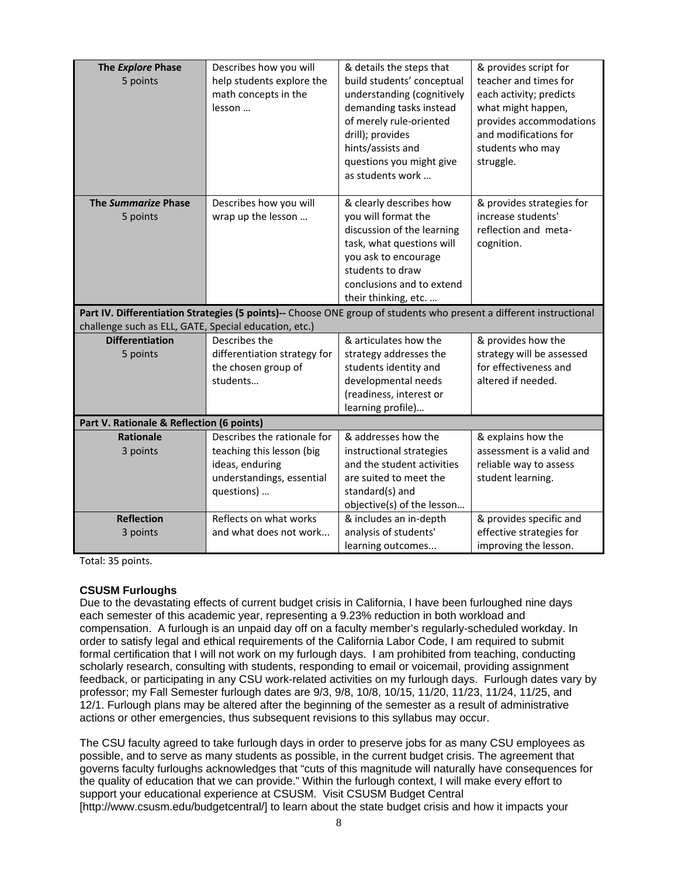| The Explore Phase<br>5 points                                                                                                                                                | Describes how you will<br>help students explore the<br>math concepts in the<br>lesson | & details the steps that<br>build students' conceptual<br>understanding (cognitively<br>demanding tasks instead<br>of merely rule-oriented<br>drill); provides<br>hints/assists and<br>questions you might give<br>as students work | & provides script for<br>teacher and times for<br>each activity; predicts<br>what might happen,<br>provides accommodations<br>and modifications for<br>students who may<br>struggle. |
|------------------------------------------------------------------------------------------------------------------------------------------------------------------------------|---------------------------------------------------------------------------------------|-------------------------------------------------------------------------------------------------------------------------------------------------------------------------------------------------------------------------------------|--------------------------------------------------------------------------------------------------------------------------------------------------------------------------------------|
| The Summarize Phase<br>5 points                                                                                                                                              | Describes how you will<br>wrap up the lesson                                          | & clearly describes how<br>you will format the                                                                                                                                                                                      | & provides strategies for<br>increase students'                                                                                                                                      |
|                                                                                                                                                                              |                                                                                       | discussion of the learning                                                                                                                                                                                                          | reflection and meta-                                                                                                                                                                 |
|                                                                                                                                                                              |                                                                                       | task, what questions will                                                                                                                                                                                                           | cognition.                                                                                                                                                                           |
|                                                                                                                                                                              |                                                                                       | you ask to encourage                                                                                                                                                                                                                |                                                                                                                                                                                      |
|                                                                                                                                                                              |                                                                                       | students to draw                                                                                                                                                                                                                    |                                                                                                                                                                                      |
|                                                                                                                                                                              |                                                                                       | conclusions and to extend<br>their thinking, etc.                                                                                                                                                                                   |                                                                                                                                                                                      |
|                                                                                                                                                                              |                                                                                       |                                                                                                                                                                                                                                     |                                                                                                                                                                                      |
| Part IV. Differentiation Strategies (5 points)-- Choose ONE group of students who present a different instructional<br>challenge such as ELL, GATE, Special education, etc.) |                                                                                       |                                                                                                                                                                                                                                     |                                                                                                                                                                                      |
|                                                                                                                                                                              |                                                                                       |                                                                                                                                                                                                                                     |                                                                                                                                                                                      |
| <b>Differentiation</b>                                                                                                                                                       | Describes the                                                                         | & articulates how the                                                                                                                                                                                                               | & provides how the                                                                                                                                                                   |
| 5 points                                                                                                                                                                     | differentiation strategy for                                                          | strategy addresses the                                                                                                                                                                                                              | strategy will be assessed                                                                                                                                                            |
|                                                                                                                                                                              | the chosen group of                                                                   | students identity and                                                                                                                                                                                                               | for effectiveness and                                                                                                                                                                |
|                                                                                                                                                                              | students                                                                              | developmental needs                                                                                                                                                                                                                 | altered if needed.                                                                                                                                                                   |
|                                                                                                                                                                              |                                                                                       | (readiness, interest or                                                                                                                                                                                                             |                                                                                                                                                                                      |
|                                                                                                                                                                              |                                                                                       | learning profile)                                                                                                                                                                                                                   |                                                                                                                                                                                      |
| Part V. Rationale & Reflection (6 points)                                                                                                                                    |                                                                                       |                                                                                                                                                                                                                                     |                                                                                                                                                                                      |
| <b>Rationale</b>                                                                                                                                                             | Describes the rationale for                                                           | & addresses how the                                                                                                                                                                                                                 | & explains how the                                                                                                                                                                   |
| 3 points                                                                                                                                                                     | teaching this lesson (big                                                             | instructional strategies                                                                                                                                                                                                            | assessment is a valid and                                                                                                                                                            |
|                                                                                                                                                                              | ideas, enduring<br>understandings, essential                                          | and the student activities<br>are suited to meet the                                                                                                                                                                                | reliable way to assess<br>student learning.                                                                                                                                          |
|                                                                                                                                                                              | questions)                                                                            | standard(s) and                                                                                                                                                                                                                     |                                                                                                                                                                                      |
|                                                                                                                                                                              |                                                                                       | objective(s) of the lesson                                                                                                                                                                                                          |                                                                                                                                                                                      |
| <b>Reflection</b>                                                                                                                                                            | Reflects on what works                                                                | & includes an in-depth                                                                                                                                                                                                              | & provides specific and                                                                                                                                                              |
| 3 points                                                                                                                                                                     | and what does not work                                                                | analysis of students'<br>learning outcomes                                                                                                                                                                                          | effective strategies for<br>improving the lesson.                                                                                                                                    |

Total: 35 points.

# **CSUSM Furloughs**

Due to the devastating effects of current budget crisis in California, I have been furloughed nine days each semester of this academic year, representing a 9.23% reduction in both workload and compensation. A furlough is an unpaid day off on a faculty member's regularly-scheduled workday. In order to satisfy legal and ethical requirements of the California Labor Code, I am required to submit formal certification that I will not work on my furlough days. I am prohibited from teaching, conducting scholarly research, consulting with students, responding to email or voicemail, providing assignment feedback, or participating in any CSU work-related activities on my furlough days. Furlough dates vary by professor; my Fall Semester furlough dates are 9/3, 9/8, 10/8, 10/15, 11/20, 11/23, 11/24, 11/25, and 12/1. Furlough plans may be altered after the beginning of the semester as a result of administrative actions or other emergencies, thus subsequent revisions to this syllabus may occur.

The CSU faculty agreed to take furlough days in order to preserve jobs for as many CSU employees as possible, and to serve as many students as possible, in the current budget crisis. The agreement that governs faculty furloughs acknowledges that "cuts of this magnitude will naturally have consequences for the quality of education that we can provide." Within the furlough context, I will make every effort to support your educational experience at CSUSM. Visit CSUSM Budget Central [http://www.csusm.edu/budgetcentral/] to learn about the state budget crisis and how it impacts your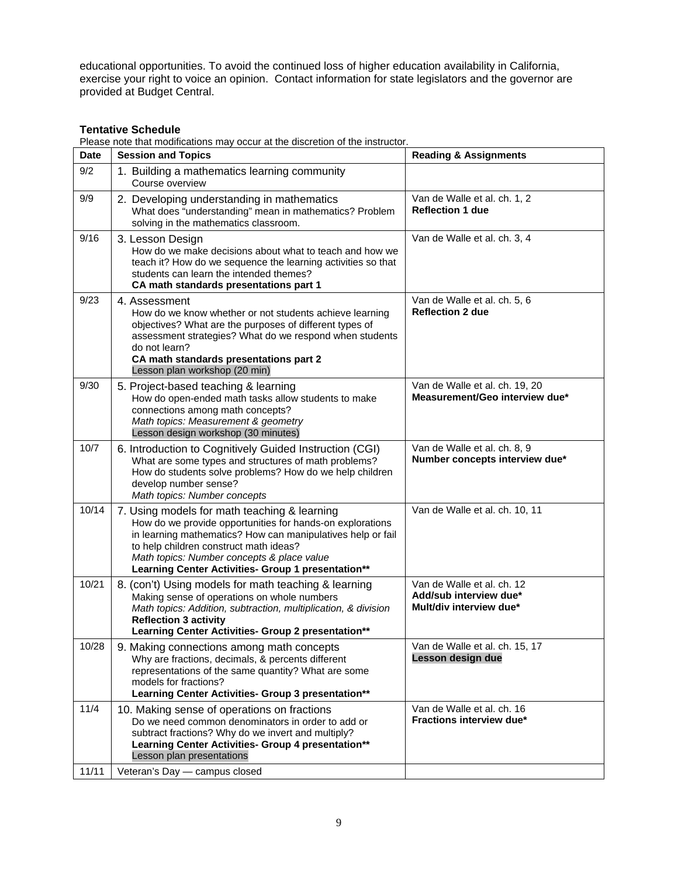educational opportunities. To avoid the continued loss of higher education availability in California, exercise your right to voice an opinion. Contact information for state legislators and the governor are provided at Budget Central.

# **Tentative Schedule**

Please note that modifications may occur at the discretion of the instructor.

| <b>Date</b> | <b>Session and Topics</b>                                                                                                                                                                                                                                                                                              | <b>Reading &amp; Assignments</b>                                                |
|-------------|------------------------------------------------------------------------------------------------------------------------------------------------------------------------------------------------------------------------------------------------------------------------------------------------------------------------|---------------------------------------------------------------------------------|
| 9/2         | 1. Building a mathematics learning community<br>Course overview                                                                                                                                                                                                                                                        |                                                                                 |
| 9/9         | 2. Developing understanding in mathematics<br>What does "understanding" mean in mathematics? Problem<br>solving in the mathematics classroom.                                                                                                                                                                          | Van de Walle et al. ch. 1, 2<br><b>Reflection 1 due</b>                         |
| 9/16        | 3. Lesson Design<br>How do we make decisions about what to teach and how we<br>teach it? How do we sequence the learning activities so that<br>students can learn the intended themes?<br>CA math standards presentations part 1                                                                                       | Van de Walle et al. ch. 3, 4                                                    |
| 9/23        | 4. Assessment<br>How do we know whether or not students achieve learning<br>objectives? What are the purposes of different types of<br>assessment strategies? What do we respond when students<br>do not learn?<br>CA math standards presentations part 2<br>Lesson plan workshop (20 min)                             | Van de Walle et al. ch. 5, 6<br><b>Reflection 2 due</b>                         |
| 9/30        | 5. Project-based teaching & learning<br>How do open-ended math tasks allow students to make<br>connections among math concepts?<br>Math topics: Measurement & geometry<br>Lesson design workshop (30 minutes)                                                                                                          | Van de Walle et al. ch. 19, 20<br>Measurement/Geo interview due*                |
| 10/7        | 6. Introduction to Cognitively Guided Instruction (CGI)<br>What are some types and structures of math problems?<br>How do students solve problems? How do we help children<br>develop number sense?<br>Math topics: Number concepts                                                                                    | Van de Walle et al. ch. 8, 9<br>Number concepts interview due*                  |
| 10/14       | 7. Using models for math teaching & learning<br>How do we provide opportunities for hands-on explorations<br>in learning mathematics? How can manipulatives help or fail<br>to help children construct math ideas?<br>Math topics: Number concepts & place value<br>Learning Center Activities- Group 1 presentation** | Van de Walle et al. ch. 10, 11                                                  |
| 10/21       | 8. (con't) Using models for math teaching & learning<br>Making sense of operations on whole numbers<br>Math topics: Addition, subtraction, multiplication, & division<br><b>Reflection 3 activity</b><br>Learning Center Activities- Group 2 presentation**                                                            | Van de Walle et al. ch. 12<br>Add/sub interview due*<br>Mult/div interview due* |
| 10/28       | 9. Making connections among math concepts<br>Why are fractions, decimals, & percents different<br>representations of the same quantity? What are some<br>models for fractions?<br>Learning Center Activities- Group 3 presentation**                                                                                   | Van de Walle et al. ch. 15, 17<br>Lesson design due                             |
| 11/4        | 10. Making sense of operations on fractions<br>Do we need common denominators in order to add or<br>subtract fractions? Why do we invert and multiply?<br>Learning Center Activities- Group 4 presentation**<br>Lesson plan presentations                                                                              | Van de Walle et al. ch. 16<br><b>Fractions interview due*</b>                   |
| 11/11       | Veteran's Day - campus closed                                                                                                                                                                                                                                                                                          |                                                                                 |